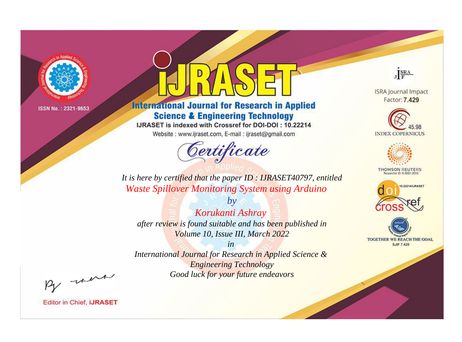

# **International Journal for Research in Applied Science & Engineering Technology**

IJRASET is indexed with Crossref for DOI-DOI: 10.22214

Website: www.ijraset.com, E-mail: ijraset@gmail.com



JERA

**ISRA Journal Impact** Factor: 7.429





**THOMSON REUTERS** 



TOGETHER WE REACH THE GOAL **SJIF 7.429** 

It is here by certified that the paper ID: IJRASET40797, entitled **Waste Spillover Monitoring System using Arduino** 

 $b\nu$ Korukanti Ashray after review is found suitable and has been published in Volume 10, Issue III, March 2022

 $in$ International Journal for Research in Applied Science & **Engineering Technology** Good luck for your future endeavors

By morn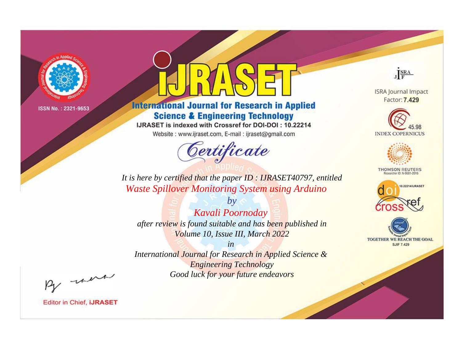

# **International Journal for Research in Applied Science & Engineering Technology**

IJRASET is indexed with Crossref for DOI-DOI: 10.22214

Website: www.ijraset.com, E-mail: ijraset@gmail.com



JERA

**ISRA Journal Impact** Factor: 7.429





**THOMSON REUTERS** 



TOGETHER WE REACH THE GOAL **SJIF 7.429** 

It is here by certified that the paper ID: IJRASET40797, entitled **Waste Spillover Monitoring System using Arduino** 

Kavali Poornoday after review is found suitable and has been published in Volume 10, Issue III, March 2022

 $b\nu$ 

 $in$ International Journal for Research in Applied Science & **Engineering Technology** Good luck for your future endeavors

By morn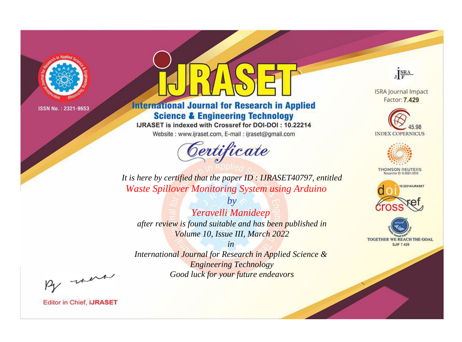

# **International Journal for Research in Applied Science & Engineering Technology**

IJRASET is indexed with Crossref for DOI-DOI: 10.22214

Website: www.ijraset.com, E-mail: ijraset@gmail.com



JERA

**ISRA Journal Impact** Factor: 7.429





**THOMSON REUTERS** 



TOGETHER WE REACH THE GOAL **SJIF 7.429** 

It is here by certified that the paper ID: IJRASET40797, entitled **Waste Spillover Monitoring System using Arduino** 

Yeravelli Manideep after review is found suitable and has been published in Volume 10, Issue III, March 2022

 $b\nu$ 

 $in$ International Journal for Research in Applied Science & **Engineering Technology** Good luck for your future endeavors

By morn